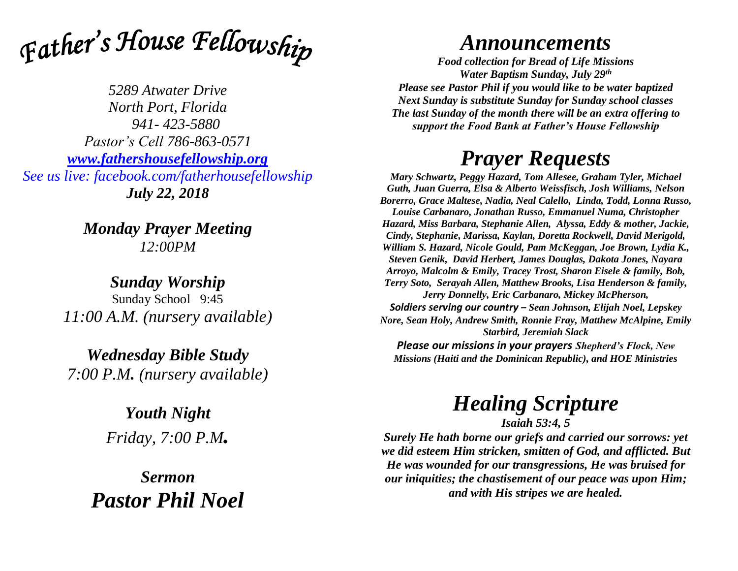

*5289 Atwater Drive North Port, Florida 941- 423-5880 Pastor's Cell 786-863-0571 [www.fathershousefellowship.org](http://www.fathershousefellowship.org/) See us live: facebook.com/fatherhousefellowship July 22, 2018*

> *Monday Prayer Meeting 12:00PM*

*Sunday Worship* Sunday School 9:45 *11:00 A.M. (nursery available)*

*Wednesday Bible Study 7:00 P.M. (nursery available)*

> *Youth Night Friday, 7:00 P.M.*

*Sermon Pastor Phil Noel*

## *Announcements*

*Food collection for Bread of Life Missions Water Baptism Sunday, July 29th Please see Pastor Phil if you would like to be water baptized Next Sunday is substitute Sunday for Sunday school classes The last Sunday of the month there will be an extra offering to support the Food Bank at Father's House Fellowship*

## *Prayer Requests*

*Mary Schwartz, Peggy Hazard, Tom Allesee, Graham Tyler, Michael Guth, Juan Guerra, Elsa & Alberto Weissfisch, Josh Williams, Nelson Borerro, Grace Maltese, Nadia, Neal Calello, Linda, Todd, Lonna Russo, Louise Carbanaro, Jonathan Russo, Emmanuel Numa, Christopher Hazard, Miss Barbara, Stephanie Allen, Alyssa, Eddy & mother, Jackie, Cindy, Stephanie, Marissa, Kaylan, Doretta Rockwell, David Merigold, William S. Hazard, Nicole Gould, Pam McKeggan, Joe Brown, Lydia K., Steven Genik, David Herbert, James Douglas, Dakota Jones, Nayara Arroyo, Malcolm & Emily, Tracey Trost, Sharon Eisele & family, Bob, Terry Soto, Serayah Allen, Matthew Brooks, Lisa Henderson & family, Jerry Donnelly, Eric Carbanaro, Mickey McPherson, Soldiers serving our country – Sean Johnson, Elijah Noel, Lepskey Nore, Sean Holy, Andrew Smith, Ronnie Fray, Matthew McAlpine, Emily Starbird, Jeremiah Slack Please our missions in your prayers Shepherd's Flock, New Missions (Haiti and the Dominican Republic), and HOE Ministries*

## *Healing Scripture*

*Isaiah 53:4, 5*

*Surely He hath borne our griefs and carried our sorrows: yet we did esteem Him stricken, smitten of God, and afflicted. But He was wounded for our transgressions, He was bruised for our iniquities; the chastisement of our peace was upon Him; and with His stripes we are healed.*